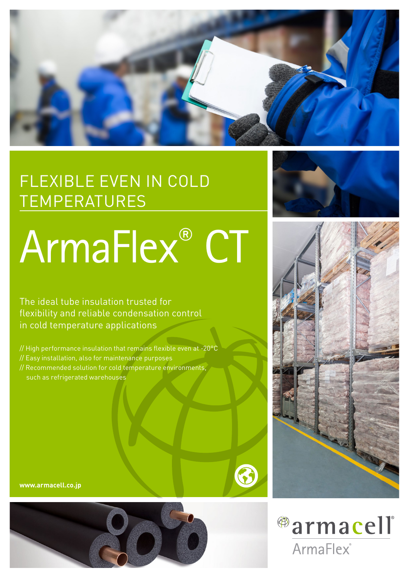

## FLEXIBLE EVEN IN COLD TEMPERATURES

# ArmaFlex® CT

The ideal tube insulation trusted for flexibility and reliable condensation control in cold temperature applications

// High performance insulation that remains flexible even at -20°C // Easy installation, also for maintenance purposes // Recommended solution for cold temperature environments, such as refrigerated warehouses











63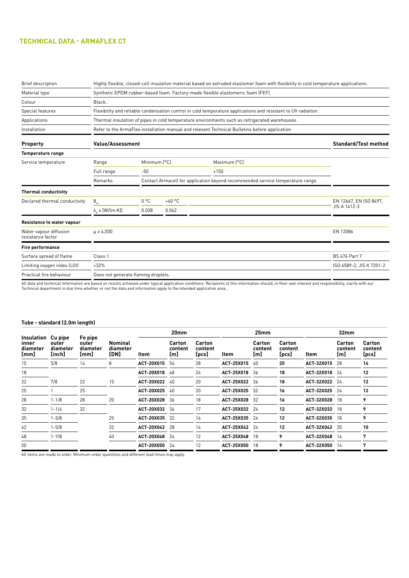### **TECHNICAL DATA - ARMAFLEX CT**

| <b>Brief description</b>                    | Highly flexible, closed-cell insulation material based on extruded elastomer foam with flexibility in cold temperature applications. |                             |          |                                                                                |                        |  |  |  |  |  |  |
|---------------------------------------------|--------------------------------------------------------------------------------------------------------------------------------------|-----------------------------|----------|--------------------------------------------------------------------------------|------------------------|--|--|--|--|--|--|
| Material type                               | Synthetic EPDM rubber-based foam. Factory-made flexible elastomeric foam (FEF).                                                      |                             |          |                                                                                |                        |  |  |  |  |  |  |
| Colour                                      | Black.                                                                                                                               |                             |          |                                                                                |                        |  |  |  |  |  |  |
| Special features                            | Flexibility and reliable condensation control in cold temperature applications and resistant to UV radiation.                        |                             |          |                                                                                |                        |  |  |  |  |  |  |
| Applications                                | Thermal insulation of pipes in cold temperature environments such as refrigerated warehouses.                                        |                             |          |                                                                                |                        |  |  |  |  |  |  |
| Installation                                | Refer to the ArmaFlex installation manual and relevant Technical Bulletins before application.                                       |                             |          |                                                                                |                        |  |  |  |  |  |  |
| <b>Property</b>                             | <b>Value/Assessment</b>                                                                                                              | <b>Standard/Test method</b> |          |                                                                                |                        |  |  |  |  |  |  |
| <b>Temperature range</b>                    |                                                                                                                                      |                             |          |                                                                                |                        |  |  |  |  |  |  |
| Service temperature                         | Range                                                                                                                                | Minimum [°C]                |          | Maximum [°C]                                                                   |                        |  |  |  |  |  |  |
|                                             | Full range                                                                                                                           | $-50$                       |          | $+150$                                                                         |                        |  |  |  |  |  |  |
|                                             | Remarks                                                                                                                              |                             |          | Contact Armacell for application beyond recommended service temperature range. |                        |  |  |  |  |  |  |
| <b>Thermal conductivity</b>                 |                                                                                                                                      |                             |          |                                                                                |                        |  |  |  |  |  |  |
| Declared thermal conductivity               | $\boldsymbol{\theta}_{\rm m}$                                                                                                        | 0 °C                        | $+40 °C$ |                                                                                | EN 12667, EN ISO 8497. |  |  |  |  |  |  |
|                                             | $\lambda_{d} \leq [W/(m \cdot K)]$                                                                                                   | 0.038                       | 0.042    |                                                                                | JIS A 1412-3           |  |  |  |  |  |  |
| Resistance to water vapour                  |                                                                                                                                      |                             |          |                                                                                |                        |  |  |  |  |  |  |
| Water vapour diffusion<br>resistance factor | $\mu \geq 4.000$                                                                                                                     |                             |          |                                                                                | EN 12086               |  |  |  |  |  |  |
| <b>Fire performance</b>                     |                                                                                                                                      |                             |          |                                                                                |                        |  |  |  |  |  |  |
| Surface spread of flame                     | Class 1                                                                                                                              |                             |          |                                                                                | <b>BS 476 Part 7</b>   |  |  |  |  |  |  |
| Limiting oxygen index (LOI)                 | $>32\%$                                                                                                                              | ISO 4589-2, JIS K 7201-2    |          |                                                                                |                        |  |  |  |  |  |  |
| Practical fire behaviour                    | Does not generate flaming droplets.                                                                                                  |                             |          |                                                                                |                        |  |  |  |  |  |  |
|                                             |                                                                                                                                      |                             |          |                                                                                |                        |  |  |  |  |  |  |

All data and technical information are based on results achieved under typical application conditions. Recipients of this information should, in their own interest and responsibility, clarify with our<br>Technical department

#### **Tube - standard (2.0m length)**

| Insulation<br>inner<br>diameter<br>[mm] |                                        | Fe pipe<br>outer<br>diameter<br>[mm] | <b>Nominal</b><br>diameter<br>[DN] | 20 <sub>mm</sub>  |                          |                            | 25mm              |                          |                                   | 32 <sub>mm</sub>  |                          |                            |
|-----------------------------------------|----------------------------------------|--------------------------------------|------------------------------------|-------------------|--------------------------|----------------------------|-------------------|--------------------------|-----------------------------------|-------------------|--------------------------|----------------------------|
|                                         | Cu pipe<br>outer<br>diameter<br>[inch] |                                      |                                    | Item              | Carton<br>content<br>[m] | Carton<br>content<br>[pcs] | Item              | Carton<br>content<br>[m] | <b>Carton</b><br>content<br>[pcs] | Item              | Carton<br>content<br>[m] | Carton<br>content<br>[pcs] |
| 15                                      | 5/8                                    | 14                                   | 8                                  | ACT-20X015        | 56                       | 28                         | ACT-25X015        | -40                      | 20                                | ACT-32X015        | 28                       | 14                         |
| 18                                      |                                        |                                      |                                    | <b>ACT-20X018</b> | 48                       | 24                         | <b>ACT-25X018</b> | -36                      | 18                                | ACT-32X018 24     |                          | 12                         |
| 22                                      | 7/8                                    | 22                                   | 15                                 | <b>ACT-20X022</b> | -40                      | 20                         | ACT-25X022 36     |                          | 18                                | ACT-32X022 24     |                          | 12                         |
| 25                                      |                                        | 25                                   |                                    | ACT-20X025        | 40                       | 20                         | ACT-25X025        | -32                      | 16                                | ACT-32X025        | - 24                     | 12                         |
| 28                                      | $1 - 1/8$                              | 28                                   | 20                                 | ACT-20X028 36     |                          | 18                         | ACT-25X028 32     |                          | 16                                | ACT-32X028        | -18                      | 9                          |
| 32                                      | $1 - 1/4$                              | 32                                   |                                    | ACT-20X032 34     |                          | 17                         | ACT-25X032 24     |                          | 12                                | ACT-32X032        | 18                       | 9                          |
| 35                                      | $1 - 3/8$                              |                                      | 25                                 | ACT-20X035        | -32                      | 16                         | ACT-25X035 24     |                          | 12                                | ACT-32X035        | 18                       | 9                          |
| 42                                      | $1 - 5/8$                              |                                      | 32                                 | ACT-20X042        | -28                      | 14                         | ACT-25X042 24     |                          | 12                                | ACT-32X042        | -20                      | 10                         |
| 48                                      | $1 - 7/8$                              |                                      | 40                                 | ACT-20X048        | 24                       | 12                         | ACT-25X048 18     |                          | 9                                 | ACT-32X048 14     |                          | 7                          |
| 50                                      |                                        |                                      |                                    | ACT-20X050        | 24                       | 12                         | ACT-25X050 18     |                          | 9                                 | <b>ACT-32X050</b> | 14                       | 7                          |
|                                         |                                        |                                      |                                    |                   |                          |                            |                   |                          |                                   |                   |                          |                            |

All items are made to order. Minimum order quantities and different lead times may apply.